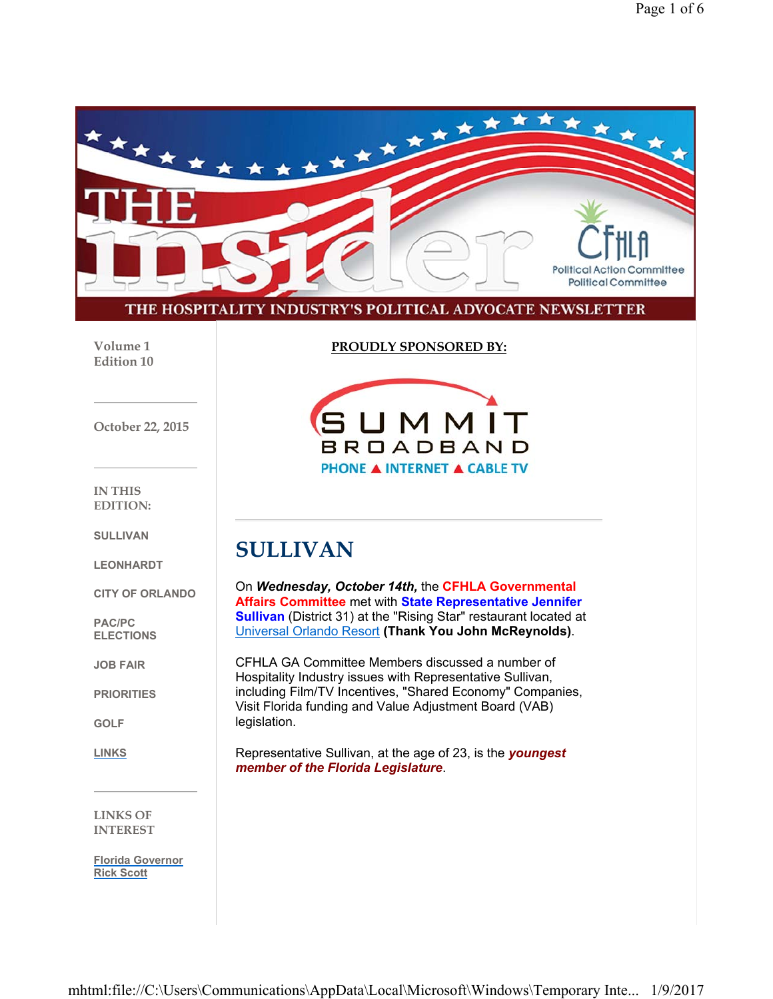

**Volume 1 Edition 10** **PROUDLY SPONSORED BY:**

**SUMMIT BROADBAND PHONE A INTERNET A CABLE TV** 

**October 22, 2015**

**IN THIS EDITION:**

**SULLIVAN**

**LEONHARDT**

**CITY OF ORLANDO**

**PAC/PC ELECTIONS**

**JOB FAIR**

**PRIORITIES**

**GOLF**

**LINKS**

**LINKS OF INTEREST**

**Florida Governor Rick Scott**

**SULLIVAN**

On *Wednesday, October 14th,* the **CFHLA Governmental Affairs Committee** met with **State Representative Jennifer Sullivan** (District 31) at the "Rising Star" restaurant located at Universal Orlando Resort **(Thank You John McReynolds)**.

CFHLA GA Committee Members discussed a number of Hospitality Industry issues with Representative Sullivan, including Film/TV Incentives, "Shared Economy" Companies, Visit Florida funding and Value Adjustment Board (VAB) legislation.

Representative Sullivan, at the age of 23, is the *youngest member of the Florida Legislature*.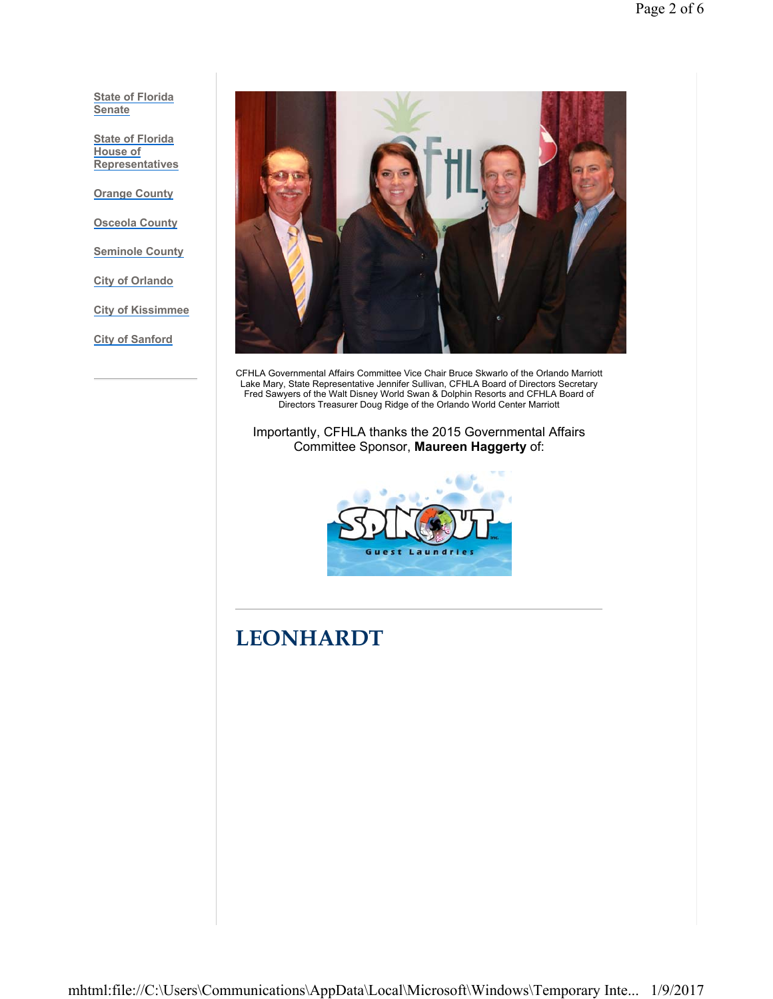**State of Florida Senate**

**State of Florida House of Representatives**

**Orange County**

**Osceola County**

**Seminole County**

**City of Orlando**

**City of Kissimmee**

**City of Sanford**



CFHLA Governmental Affairs Committee Vice Chair Bruce Skwarlo of the Orlando Marriott Lake Mary, State Representative Jennifer Sullivan, CFHLA Board of Directors Secretary Fred Sawyers of the Walt Disney World Swan & Dolphin Resorts and CFHLA Board of Directors Treasurer Doug Ridge of the Orlando World Center Marriott

Importantly, CFHLA thanks the 2015 Governmental Affairs Committee Sponsor, **Maureen Haggerty** of:



# **LEONHARDT**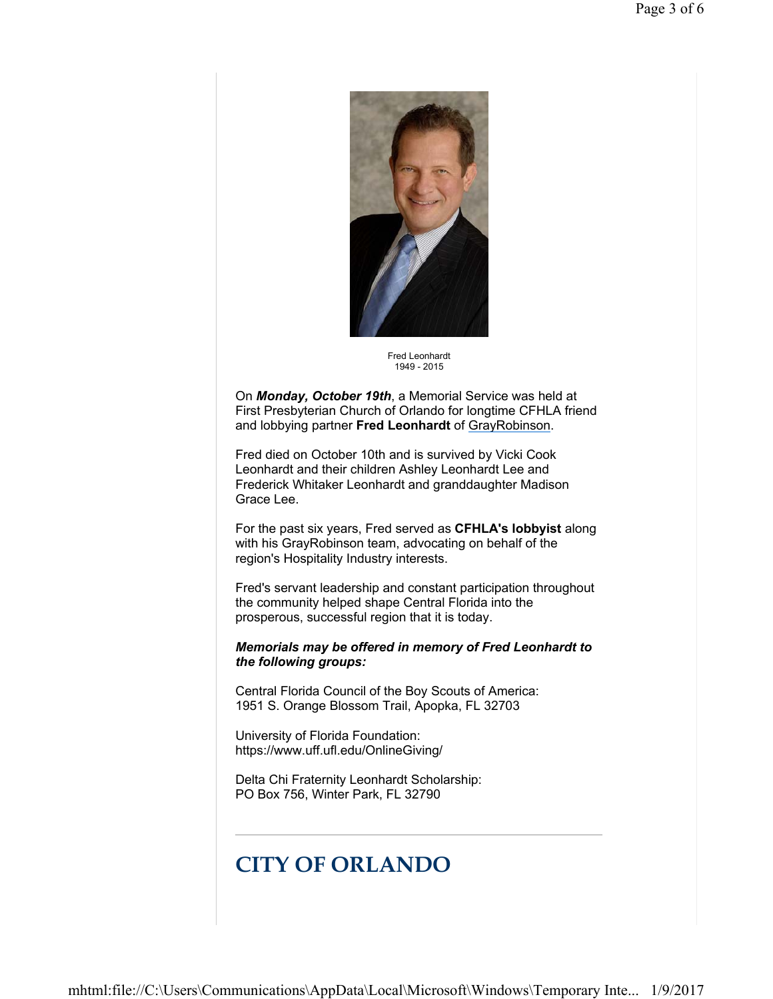

Fred Leonhardt 1949 - 2015

On *Monday, October 19th*, a Memorial Service was held at First Presbyterian Church of Orlando for longtime CFHLA friend and lobbying partner **Fred Leonhardt** of GrayRobinson.

Fred died on October 10th and is survived by Vicki Cook Leonhardt and their children Ashley Leonhardt Lee and Frederick Whitaker Leonhardt and granddaughter Madison Grace Lee.

For the past six years, Fred served as **CFHLA's lobbyist** along with his GrayRobinson team, advocating on behalf of the region's Hospitality Industry interests.

Fred's servant leadership and constant participation throughout the community helped shape Central Florida into the prosperous, successful region that it is today.

*Memorials may be offered in memory of Fred Leonhardt to the following groups:*

Central Florida Council of the Boy Scouts of America: 1951 S. Orange Blossom Trail, Apopka, FL 32703

University of Florida Foundation: https://www.uff.ufl.edu/OnlineGiving/

Delta Chi Fraternity Leonhardt Scholarship: PO Box 756, Winter Park, FL 32790

# **CITY OF ORLANDO**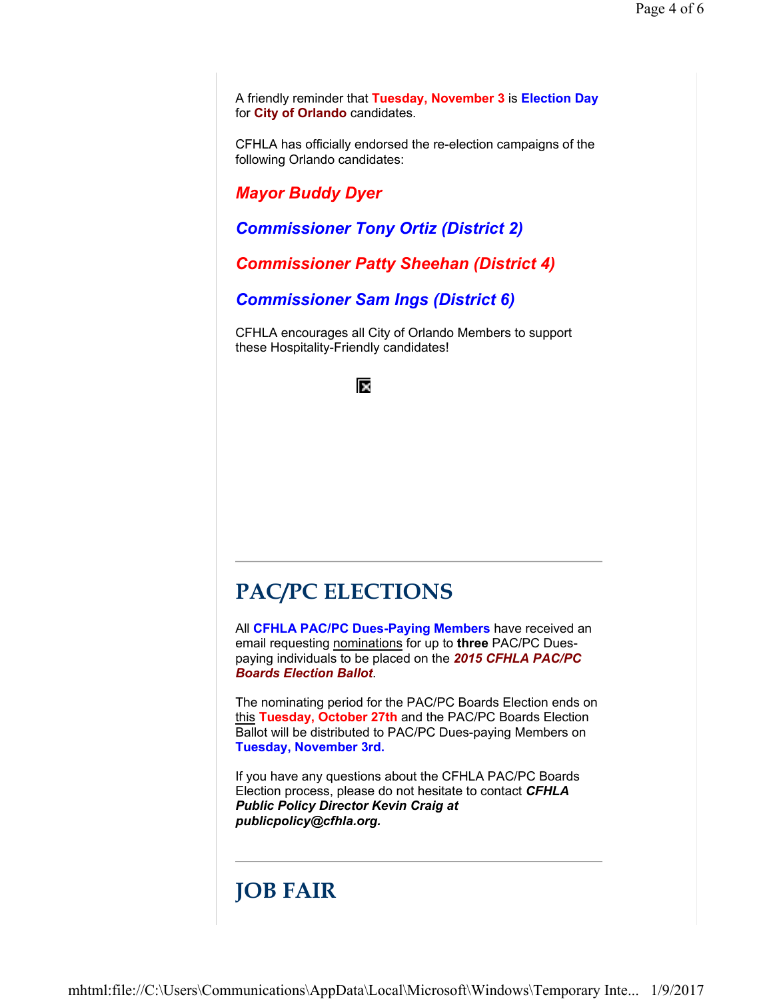A friendly reminder that **Tuesday, November 3** is **Election Day** for **City of Orlando** candidates.

CFHLA has officially endorsed the re-election campaigns of the following Orlando candidates:

*Mayor Buddy Dyer*

*Commissioner Tony Ortiz (District 2)*

*Commissioner Patty Sheehan (District 4)*

*Commissioner Sam Ings (District 6)*

CFHLA encourages all City of Orlando Members to support these Hospitality-Friendly candidates!



## **PAC/PC ELECTIONS**

All **CFHLA PAC/PC Dues-Paying Members** have received an email requesting nominations for up to **three** PAC/PC Duespaying individuals to be placed on the *2015 CFHLA PAC/PC Boards Election Ballot*.

The nominating period for the PAC/PC Boards Election ends on this **Tuesday, October 27th** and the PAC/PC Boards Election Ballot will be distributed to PAC/PC Dues-paying Members on **Tuesday, November 3rd.**

If you have any questions about the CFHLA PAC/PC Boards Election process, please do not hesitate to contact *CFHLA Public Policy Director Kevin Craig at publicpolicy@cfhla.org.*

# **JOB FAIR**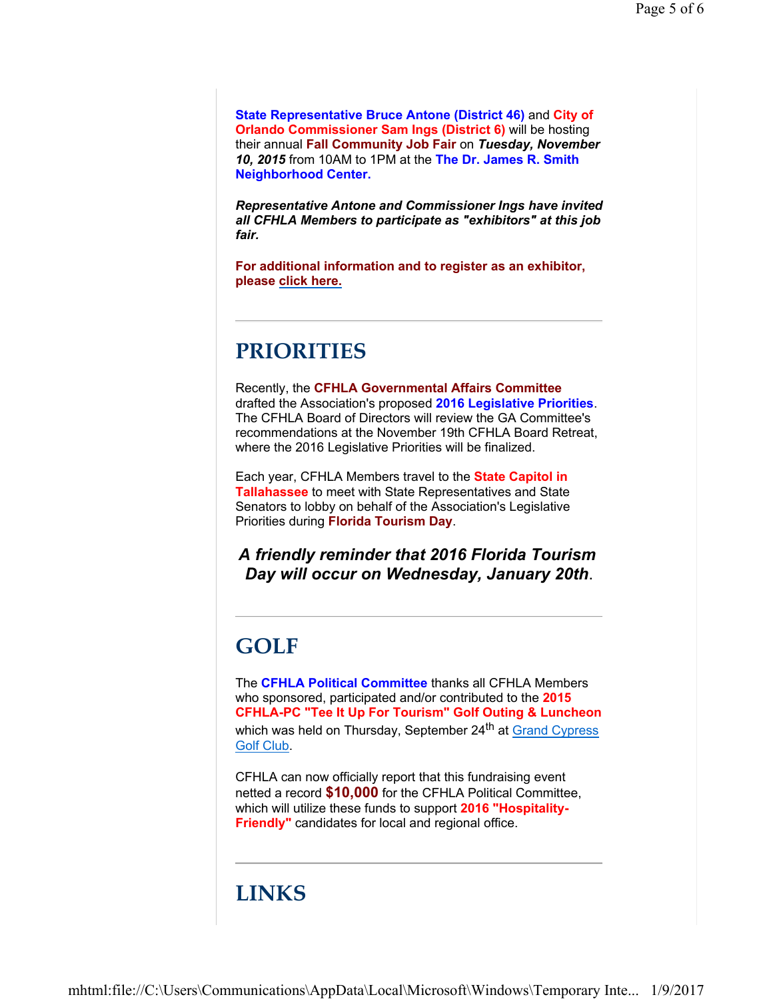**State Representative Bruce Antone (District 46)** and **City of Orlando Commissioner Sam Ings (District 6)** will be hosting their annual **Fall Community Job Fair** on *Tuesday, November 10, 2015* from 10AM to 1PM at the **The Dr. James R. Smith Neighborhood Center.**

*Representative Antone and Commissioner Ings have invited all CFHLA Members to participate as "exhibitors" at this job fair.*

**For additional information and to register as an exhibitor, please click here.**

## **PRIORITIES**

Recently, the **CFHLA Governmental Affairs Committee** drafted the Association's proposed **2016 Legislative Priorities**. The CFHLA Board of Directors will review the GA Committee's recommendations at the November 19th CFHLA Board Retreat, where the 2016 Legislative Priorities will be finalized.

Each year, CFHLA Members travel to the **State Capitol in Tallahassee** to meet with State Representatives and State Senators to lobby on behalf of the Association's Legislative Priorities during **Florida Tourism Day**.

*A friendly reminder that 2016 Florida Tourism Day will occur on Wednesday, January 20th*.

# **GOLF**

The **CFHLA Political Committee** thanks all CFHLA Members who sponsored, participated and/or contributed to the **2015 CFHLA-PC "Tee It Up For Tourism" Golf Outing & Luncheon** which was held on Thursday, September 24<sup>th</sup> at Grand Cypress Golf Club.

CFHLA can now officially report that this fundraising event netted a record **\$10,000** for the CFHLA Political Committee, which will utilize these funds to support **2016 "Hospitality-Friendly"** candidates for local and regional office.

## **LINKS**